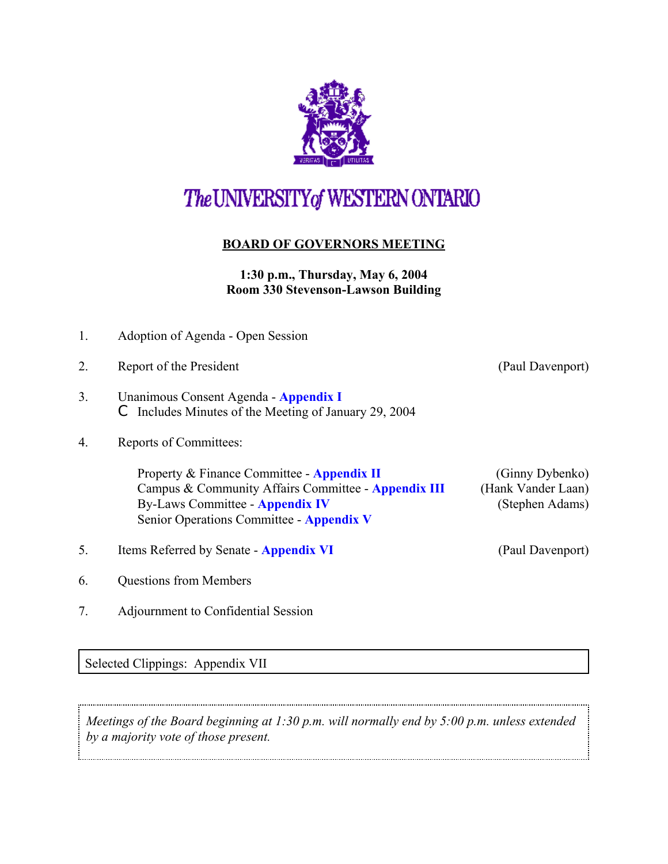

## The UNIVERSITY of WESTERN ONTARIO

## **BOARD OF GOVERNORS MEETING**

## **1:30 p.m., Thursday, May 6, 2004 Room 330 Stevenson-Lawson Building**

| 1. | Adoption of Agenda - Open Session                                                                                                                                                       |                                                          |
|----|-----------------------------------------------------------------------------------------------------------------------------------------------------------------------------------------|----------------------------------------------------------|
| 2. | Report of the President                                                                                                                                                                 | (Paul Davenport)                                         |
| 3. | Unanimous Consent Agenda - Appendix I<br>Includes Minutes of the Meeting of January 29, 2004                                                                                            |                                                          |
| 4. | Reports of Committees:                                                                                                                                                                  |                                                          |
|    | Property & Finance Committee - Appendix II<br>Campus & Community Affairs Committee - Appendix III<br><b>By-Laws Committee - Appendix IV</b><br>Senior Operations Committee - Appendix V | (Ginny Dybenko)<br>(Hank Vander Laan)<br>(Stephen Adams) |
| 5. | Items Referred by Senate - Appendix VI                                                                                                                                                  | (Paul Davenport)                                         |
| 6. | <b>Questions from Members</b>                                                                                                                                                           |                                                          |
| 7. | Adjournment to Confidential Session                                                                                                                                                     |                                                          |

Selected Clippings: Appendix VII

*Meetings of the Board beginning at 1:30 p.m. will normally end by 5:00 p.m. unless extended by a majority vote of those present.*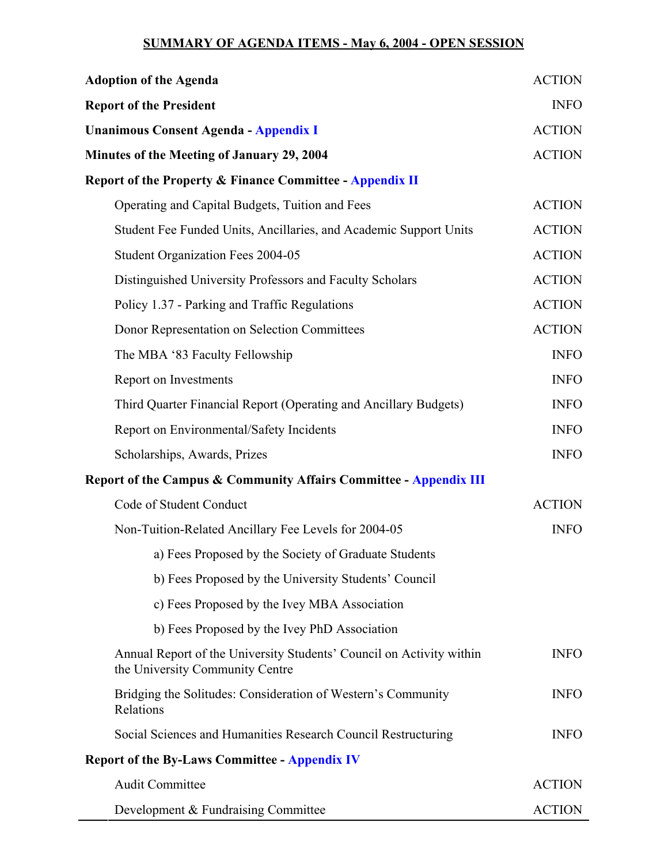## **SUMMARY OF AGENDA ITEMS - May 6, 2004 - OPEN SESSION**

| <b>Adoption of the Agenda</b>                                                                           | <b>ACTION</b> |
|---------------------------------------------------------------------------------------------------------|---------------|
| <b>Report of the President</b>                                                                          | <b>INFO</b>   |
| <b>Unanimous Consent Agenda - Appendix I</b>                                                            | <b>ACTION</b> |
| Minutes of the Meeting of January 29, 2004                                                              | <b>ACTION</b> |
| Report of the Property & Finance Committee - Appendix II                                                |               |
| Operating and Capital Budgets, Tuition and Fees                                                         | <b>ACTION</b> |
| Student Fee Funded Units, Ancillaries, and Academic Support Units                                       | <b>ACTION</b> |
| Student Organization Fees 2004-05                                                                       | <b>ACTION</b> |
| Distinguished University Professors and Faculty Scholars                                                | <b>ACTION</b> |
| Policy 1.37 - Parking and Traffic Regulations                                                           | <b>ACTION</b> |
| Donor Representation on Selection Committees                                                            | <b>ACTION</b> |
| The MBA '83 Faculty Fellowship                                                                          | <b>INFO</b>   |
| Report on Investments                                                                                   | <b>INFO</b>   |
| Third Quarter Financial Report (Operating and Ancillary Budgets)                                        | <b>INFO</b>   |
| Report on Environmental/Safety Incidents                                                                | <b>INFO</b>   |
| Scholarships, Awards, Prizes                                                                            | <b>INFO</b>   |
| Report of the Campus & Community Affairs Committee - Appendix III                                       |               |
| Code of Student Conduct                                                                                 | <b>ACTION</b> |
| Non-Tuition-Related Ancillary Fee Levels for 2004-05                                                    | <b>INFO</b>   |
| a) Fees Proposed by the Society of Graduate Students                                                    |               |
| b) Fees Proposed by the University Students' Council                                                    |               |
| c) Fees Proposed by the Ivey MBA Association                                                            |               |
| b) Fees Proposed by the Ivey PhD Association                                                            |               |
| Annual Report of the University Students' Council on Activity within<br>the University Community Centre | <b>INFO</b>   |
| Bridging the Solitudes: Consideration of Western's Community<br>Relations                               | <b>INFO</b>   |
| Social Sciences and Humanities Research Council Restructuring                                           | <b>INFO</b>   |
| <b>Report of the By-Laws Committee - Appendix IV</b>                                                    |               |
| <b>Audit Committee</b>                                                                                  | <b>ACTION</b> |
| Development & Fundraising Committee                                                                     | <b>ACTION</b> |